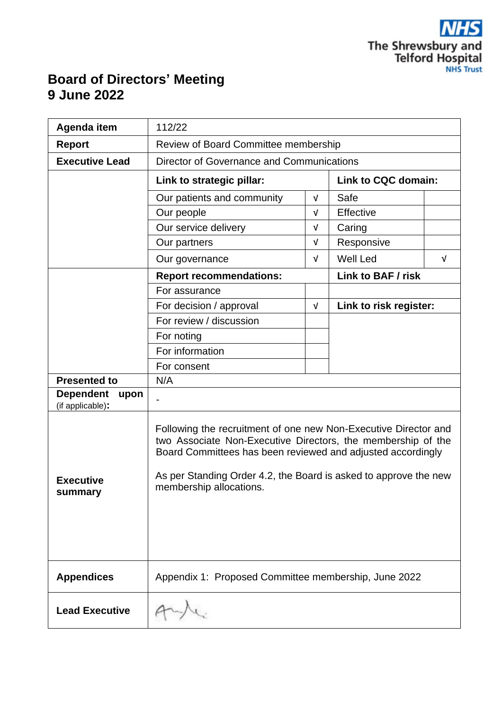

## **Board of Directors' Meeting 9 June 2022**

| Agenda item                                  | 112/22                                                                                                                                                                                                                                                                                        |            |                               |  |  |  |  |  |  |
|----------------------------------------------|-----------------------------------------------------------------------------------------------------------------------------------------------------------------------------------------------------------------------------------------------------------------------------------------------|------------|-------------------------------|--|--|--|--|--|--|
| <b>Report</b>                                | Review of Board Committee membership                                                                                                                                                                                                                                                          |            |                               |  |  |  |  |  |  |
| <b>Executive Lead</b>                        | Director of Governance and Communications                                                                                                                                                                                                                                                     |            |                               |  |  |  |  |  |  |
|                                              | Link to strategic pillar:                                                                                                                                                                                                                                                                     |            | Link to CQC domain:           |  |  |  |  |  |  |
|                                              | Our patients and community                                                                                                                                                                                                                                                                    | $\sqrt{ }$ | Safe                          |  |  |  |  |  |  |
|                                              | Our people                                                                                                                                                                                                                                                                                    | $\sqrt{ }$ | <b>Effective</b>              |  |  |  |  |  |  |
|                                              | Our service delivery                                                                                                                                                                                                                                                                          | $\sqrt{ }$ | Caring                        |  |  |  |  |  |  |
|                                              | Our partners                                                                                                                                                                                                                                                                                  | $\sqrt{ }$ | Responsive                    |  |  |  |  |  |  |
|                                              | Our governance                                                                                                                                                                                                                                                                                | $\sqrt{ }$ | <b>Well Led</b><br>$\sqrt{ }$ |  |  |  |  |  |  |
|                                              | <b>Report recommendations:</b>                                                                                                                                                                                                                                                                |            | <b>Link to BAF / risk</b>     |  |  |  |  |  |  |
|                                              | For assurance                                                                                                                                                                                                                                                                                 |            |                               |  |  |  |  |  |  |
|                                              | For decision / approval                                                                                                                                                                                                                                                                       | $\sqrt{ }$ | Link to risk register:        |  |  |  |  |  |  |
|                                              | For review / discussion                                                                                                                                                                                                                                                                       |            |                               |  |  |  |  |  |  |
|                                              | For noting                                                                                                                                                                                                                                                                                    |            |                               |  |  |  |  |  |  |
|                                              | For information                                                                                                                                                                                                                                                                               |            |                               |  |  |  |  |  |  |
|                                              | For consent                                                                                                                                                                                                                                                                                   |            |                               |  |  |  |  |  |  |
| <b>Presented to</b>                          | N/A                                                                                                                                                                                                                                                                                           |            |                               |  |  |  |  |  |  |
| <b>Dependent</b><br>upon<br>(if applicable): |                                                                                                                                                                                                                                                                                               |            |                               |  |  |  |  |  |  |
| <b>Executive</b><br>summary                  | Following the recruitment of one new Non-Executive Director and<br>two Associate Non-Executive Directors, the membership of the<br>Board Committees has been reviewed and adjusted accordingly<br>As per Standing Order 4.2, the Board is asked to approve the new<br>membership allocations. |            |                               |  |  |  |  |  |  |
| <b>Appendices</b>                            | Appendix 1: Proposed Committee membership, June 2022                                                                                                                                                                                                                                          |            |                               |  |  |  |  |  |  |
| <b>Lead Executive</b>                        |                                                                                                                                                                                                                                                                                               |            |                               |  |  |  |  |  |  |